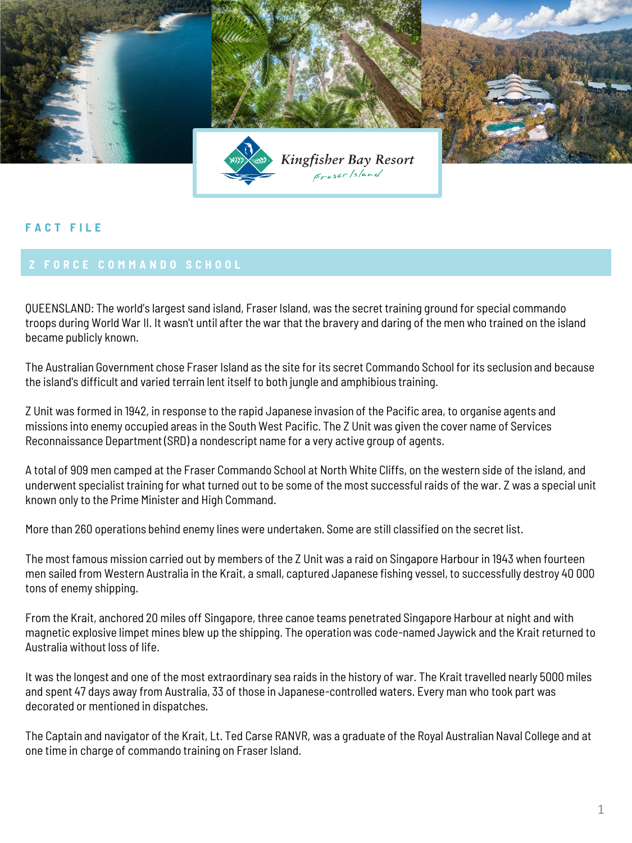

## **F A C T F I L E**

QUEENSLAND: The world's largest sand island, Fraser Island, was the secret training ground for special commando troops during World War II. It wasn't until after the war that the bravery and daring of the men who trained on the island became publicly known.

The Australian Government chose Fraser Island as the site for its secret Commando School for its seclusion and because the island's difficult and varied terrain lent itself to both jungle and amphibious training.

Z Unit was formed in 1942, in response to the rapid Japanese invasion of the Pacific area, to organise agents and missions into enemy occupied areas in the South West Pacific. The Z Unit was given the cover name of Services Reconnaissance Department (SRD) a nondescript name for a very active group of agents.

A total of 909 men camped at the Fraser Commando School at North White Cliffs, on the western side of the island, and underwent specialist training for what turned out to be some of the most successful raids of the war. Z was a special unit known only to the Prime Minister and High Command.

More than 260 operations behind enemy lines were undertaken. Some are still classified on the secret list.

The most famous mission carried out by members of the Z Unit was a raid on Singapore Harbour in 1943 when fourteen men sailed from Western Australia in the Krait, a small, captured Japanese fishing vessel, to successfully destroy 40 000 tons of enemy shipping.

From the Krait, anchored 20 miles off Singapore, three canoe teams penetrated Singapore Harbour at night and with magnetic explosive limpet mines blew up the shipping. The operation was code-named Jaywick and the Krait returned to Australia without loss of life.

It was the longest and one of the most extraordinary sea raids in the history of war. The Krait travelled nearly 5000 miles and spent 47 days away from Australia, 33 of those in Japanese-controlled waters. Every man who took part was decorated or mentioned in dispatches.

The Captain and navigator of the Krait, Lt. Ted Carse RANVR, was a graduate of the Royal Australian Naval College and at one time in charge of commando training on Fraser Island.